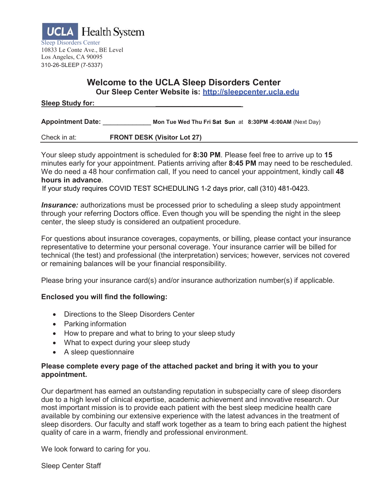

### **Welcome to the UCLA Sleep Disorders Center Our Sleep Center Website is: [http://sleepcenter.ucla.edu](http://sleepcenter.ucla.edu/)**

#### **Sleep Study for: \_\_\_\_\_\_\_\_\_\_\_\_\_\_\_\_\_\_\_\_\_\_**

**Appointment Date:** \_\_\_\_\_\_\_\_\_\_\_\_\_ **Mon Tue Wed Thu Fri Sat Sun** at **8:30PM -6:00AM** (Next Day)

Check in at: **FRONT DESK (Visitor Lot 27)**

Your sleep study appointment is scheduled for **8:30 PM**. Please feel free to arrive up to **15**  minutes early for your appointment. Patients arriving after **8:45 PM** may need to be rescheduled. We do need a 48 hour confirmation call, If you need to cancel your appointment, kindly call **48 hours in advance**.

If your study requires COVID TEST SCHEDULING 1-2 days prior, call (310) 481-0423.

*Insurance:* authorizations must be processed prior to scheduling a sleep study appointment through your referring Doctors office. Even though you will be spending the night in the sleep center, the sleep study is considered an outpatient procedure.

For questions about insurance coverages, copayments, or billing, please contact your insurance representative to determine your personal coverage. Your insurance carrier will be billed for technical (the test) and professional (the interpretation) services; however, services not covered or remaining balances will be your financial responsibility.

Please bring your insurance card(s) and/or insurance authorization number(s) if applicable.

#### **Enclosed you will find the following:**

- Directions to the Sleep Disorders Center
- Parking information
- How to prepare and what to bring to your sleep study
- What to expect during your sleep study
- A sleep questionnaire

#### **Please complete every page of the attached packet and bring it with you to your appointment.**

Our department has earned an outstanding reputation in subspecialty care of sleep disorders due to a high level of clinical expertise, academic achievement and innovative research. Our most important mission is to provide each patient with the best sleep medicine health care available by combining our extensive experience with the latest advances in the treatment of sleep disorders. Our faculty and staff work together as a team to bring each patient the highest quality of care in a warm, friendly and professional environment.

We look forward to caring for you.

Sleep Center Staff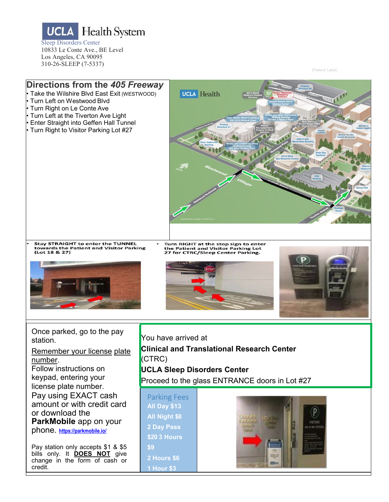**UCLA** Health System Sleep Disorders Center 10833 Le Conte Ave., BE Level Los Angeles, CA 90095 310-26-SLEEP (7-5337)

credit.

(Patient Label)



**1 Hour \$3**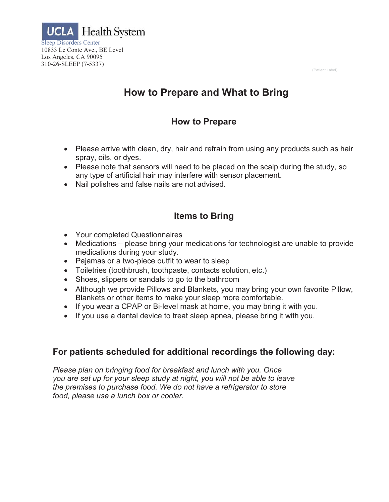(Patient Label)



# **How to Prepare and What to Bring**

# **How to Prepare**

- Please arrive with clean, dry, hair and refrain from using any products such as hair spray, oils, or dyes.
- Please note that sensors will need to be placed on the scalp during the study, so any type of artificial hair may interfere with sensor placement.
- Nail polishes and false nails are not advised.

# **Items to Bring**

- Your completed Questionnaires
- Medications please bring your medications for technologist are unable to provide medications during your study.
- Pajamas or a two-piece outfit to wear to sleep
- Toiletries (toothbrush, toothpaste, contacts solution, etc.)
- Shoes, slippers or sandals to go to the bathroom
- Although we provide Pillows and Blankets, you may bring your own favorite Pillow, Blankets or other items to make your sleep more comfortable.
- If you wear a CPAP or Bi-level mask at home, you may bring it with you.
- If you use a dental device to treat sleep apnea, please bring it with you.

## **For patients scheduled for additional recordings the following day:**

*Please plan on bringing food for breakfast and lunch with you. Once you are set up for your sleep study at night, you will not be able to leave the premises to purchase food. We do not have a refrigerator to store food, please use a lunch box or cooler.*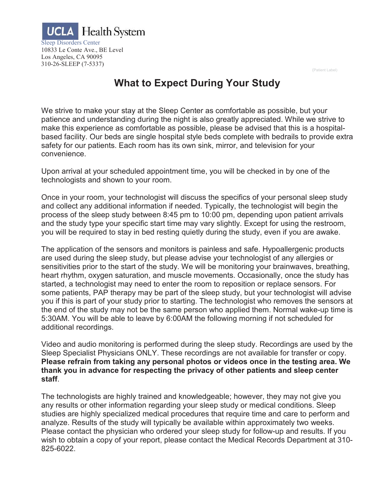

(Patient Label)

# **What to Expect During Your Study**

We strive to make your stay at the Sleep Center as comfortable as possible, but your patience and understanding during the night is also greatly appreciated. While we strive to make this experience as comfortable as possible, please be advised that this is a hospitalbased facility. Our beds are single hospital style beds complete with bedrails to provide extra safety for our patients. Each room has its own sink, mirror, and television for your convenience.

Upon arrival at your scheduled appointment time, you will be checked in by one of the technologists and shown to your room.

Once in your room, your technologist will discuss the specifics of your personal sleep study and collect any additional information if needed. Typically, the technologist will begin the process of the sleep study between 8:45 pm to 10:00 pm, depending upon patient arrivals and the study type your specific start time may vary slightly. Except for using the restroom, you will be required to stay in bed resting quietly during the study, even if you are awake.

The application of the sensors and monitors is painless and safe. Hypoallergenic products are used during the sleep study, but please advise your technologist of any allergies or sensitivities prior to the start of the study. We will be monitoring your brainwaves, breathing, heart rhythm, oxygen saturation, and muscle movements. Occasionally, once the study has started, a technologist may need to enter the room to reposition or replace sensors. For some patients, PAP therapy may be part of the sleep study, but your technologist will advise you if this is part of your study prior to starting. The technologist who removes the sensors at the end of the study may not be the same person who applied them. Normal wake-up time is 5:30AM. You will be able to leave by 6:00AM the following morning if not scheduled for additional recordings.

Video and audio monitoring is performed during the sleep study. Recordings are used by the Sleep Specialist Physicians ONLY. These recordings are not available for transfer or copy. **Please refrain from taking any personal photos or videos once in the testing area. We thank you in advance for respecting the privacy of other patients and sleep center staff**.

The technologists are highly trained and knowledgeable; however, they may not give you any results or other information regarding your sleep study or medical conditions. Sleep studies are highly specialized medical procedures that require time and care to perform and analyze. Results of the study will typically be available within approximately two weeks. Please contact the physician who ordered your sleep study for follow-up and results. If you wish to obtain a copy of your report, please contact the Medical Records Department at 310- 825-6022.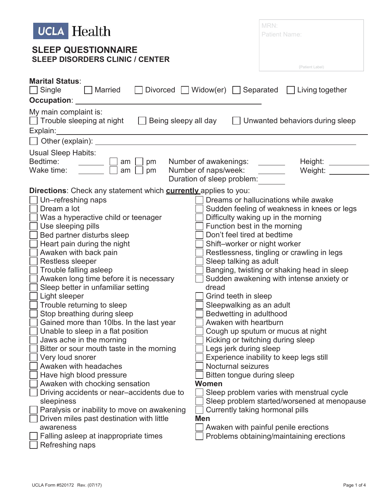| <b>UCLA</b> Health                                                                                                                                                                                                                                                                                                                                                                                                                                                                                                                                                                                                                                                                                                                                                                                                                                                                                                                                                                                                                                                                 | MRN:<br><b>Patient Name:</b>                                                                                                                                                                                                                                                                                                                                                                                                                                                        |  |  |  |
|------------------------------------------------------------------------------------------------------------------------------------------------------------------------------------------------------------------------------------------------------------------------------------------------------------------------------------------------------------------------------------------------------------------------------------------------------------------------------------------------------------------------------------------------------------------------------------------------------------------------------------------------------------------------------------------------------------------------------------------------------------------------------------------------------------------------------------------------------------------------------------------------------------------------------------------------------------------------------------------------------------------------------------------------------------------------------------|-------------------------------------------------------------------------------------------------------------------------------------------------------------------------------------------------------------------------------------------------------------------------------------------------------------------------------------------------------------------------------------------------------------------------------------------------------------------------------------|--|--|--|
| <b>SLEEP QUESTIONNAIRE</b><br><b>SLEEP DISORDERS CLINIC / CENTER</b>                                                                                                                                                                                                                                                                                                                                                                                                                                                                                                                                                                                                                                                                                                                                                                                                                                                                                                                                                                                                               | (Patient Label)                                                                                                                                                                                                                                                                                                                                                                                                                                                                     |  |  |  |
| <b>Marital Status:</b><br>□ Divorced ■ Widow(er) ■ Separated ■ Living together<br>    Married<br>$\Box$ Single                                                                                                                                                                                                                                                                                                                                                                                                                                                                                                                                                                                                                                                                                                                                                                                                                                                                                                                                                                     |                                                                                                                                                                                                                                                                                                                                                                                                                                                                                     |  |  |  |
| My main complaint is:<br>$\Box$ Trouble sleeping at night $\Box$ Being sleepy all day                                                                                                                                                                                                                                                                                                                                                                                                                                                                                                                                                                                                                                                                                                                                                                                                                                                                                                                                                                                              | Unwanted behaviors during sleep                                                                                                                                                                                                                                                                                                                                                                                                                                                     |  |  |  |
| Other (explain):                                                                                                                                                                                                                                                                                                                                                                                                                                                                                                                                                                                                                                                                                                                                                                                                                                                                                                                                                                                                                                                                   |                                                                                                                                                                                                                                                                                                                                                                                                                                                                                     |  |  |  |
| Usual Sleep Habits:                                                                                                                                                                                                                                                                                                                                                                                                                                                                                                                                                                                                                                                                                                                                                                                                                                                                                                                                                                                                                                                                |                                                                                                                                                                                                                                                                                                                                                                                                                                                                                     |  |  |  |
| Bedtime:<br>pm Number of awakenings: ______<br>$am \mid$                                                                                                                                                                                                                                                                                                                                                                                                                                                                                                                                                                                                                                                                                                                                                                                                                                                                                                                                                                                                                           | Height: ____                                                                                                                                                                                                                                                                                                                                                                                                                                                                        |  |  |  |
| Wake time:<br>Number of naps/week:<br>pm<br>am                                                                                                                                                                                                                                                                                                                                                                                                                                                                                                                                                                                                                                                                                                                                                                                                                                                                                                                                                                                                                                     | Weight: __                                                                                                                                                                                                                                                                                                                                                                                                                                                                          |  |  |  |
| Duration of sleep problem:                                                                                                                                                                                                                                                                                                                                                                                                                                                                                                                                                                                                                                                                                                                                                                                                                                                                                                                                                                                                                                                         |                                                                                                                                                                                                                                                                                                                                                                                                                                                                                     |  |  |  |
| <b>Directions:</b> Check any statement which <b>currently</b> applies to you:                                                                                                                                                                                                                                                                                                                                                                                                                                                                                                                                                                                                                                                                                                                                                                                                                                                                                                                                                                                                      |                                                                                                                                                                                                                                                                                                                                                                                                                                                                                     |  |  |  |
| Un-refreshing naps<br>Dream a lot<br>Was a hyperactive child or teenager<br>Use sleeping pills<br>Function best in the morning<br>Bed partner disturbs sleep<br>Don't feel tired at bedtime<br>Heart pain during the night<br>Shift-worker or night worker<br>Awaken with back pain<br><b>Restless sleeper</b><br>Sleep talking as adult<br>Trouble falling asleep<br>Awaken long time before it is necessary<br>Sleep better in unfamiliar setting<br>dread<br>Light sleeper<br>Grind teeth in sleep<br>Trouble returning to sleep<br>Sleepwalking as an adult<br>Stop breathing during sleep<br>Bedwetting in adulthood<br>Gained more than 10lbs. In the last year<br>Awaken with heartburn<br>Unable to sleep in a flat position<br>Jaws ache in the morning<br>Bitter or sour mouth taste in the morning<br>Legs jerk during sleep<br>Very loud snorer<br>Awaken with headaches<br><b>Nocturnal seizures</b><br>Have high blood pressure<br>Bitten tongue during sleep<br>Awaken with chocking sensation<br>Women<br>Driving accidents or near-accidents due to<br>sleepiness | Dreams or hallucinations while awake<br>Sudden feeling of weakness in knees or legs<br>Difficulty waking up in the morning<br>Restlessness, tingling or crawling in legs<br>Banging, twisting or shaking head in sleep<br>Sudden awakening with intense anxiety or<br>Cough up sputum or mucus at night<br>Kicking or twitching during sleep<br>Experience inability to keep legs still<br>Sleep problem varies with menstrual cycle<br>Sleep problem started/worsened at menopause |  |  |  |
| Paralysis or inability to move on awakening<br>Currently taking hormonal pills                                                                                                                                                                                                                                                                                                                                                                                                                                                                                                                                                                                                                                                                                                                                                                                                                                                                                                                                                                                                     |                                                                                                                                                                                                                                                                                                                                                                                                                                                                                     |  |  |  |
| Driven miles past destination with little<br><b>Men</b>                                                                                                                                                                                                                                                                                                                                                                                                                                                                                                                                                                                                                                                                                                                                                                                                                                                                                                                                                                                                                            |                                                                                                                                                                                                                                                                                                                                                                                                                                                                                     |  |  |  |
| awareness<br>Falling asleep at inappropriate times<br>Refreshing naps                                                                                                                                                                                                                                                                                                                                                                                                                                                                                                                                                                                                                                                                                                                                                                                                                                                                                                                                                                                                              | Awaken with painful penile erections<br>Problems obtaining/maintaining erections                                                                                                                                                                                                                                                                                                                                                                                                    |  |  |  |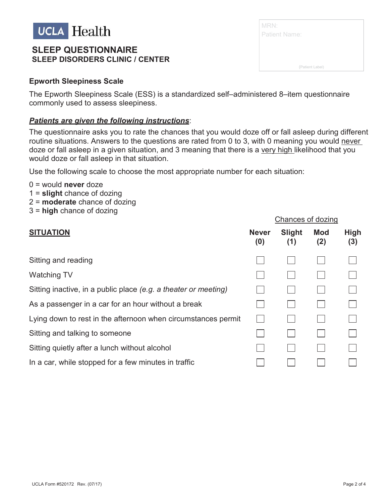

## **SLEEP QUESTIONNAIRE SLEEP DISORDERS CLINIC / CENTER**

The Epworth Sleepiness Scale (ESS) is a standardized self–administered 8–item questionnaire commonly used to assess sleepiness.

#### *Patients are given the following instructions*:

The questionnaire asks you to rate the chances that you would doze off or fall asleep during different routine situations. Answers to the questions are rated from 0 to 3, with 0 meaning you would never doze or fall asleep in a given situation, and 3 meaning that there is a very high likelihood that you would doze or fall asleep in that situation.

Use the following scale to choose the most appropriate number for each situation:

- 0 = would **never** doze
- 1 = **slight** chance of dozing
- 2 = **moderate** chance of dozing
- 3 = **high** chance of dozing

| <b>SITUATION</b>                                                | <b>Never</b><br>(0) | <b>Slight</b><br>(1) | <b>Mod</b><br>(2) | <b>High</b><br>(3) |
|-----------------------------------------------------------------|---------------------|----------------------|-------------------|--------------------|
| Sitting and reading                                             |                     |                      |                   |                    |
| <b>Watching TV</b>                                              |                     |                      |                   |                    |
| Sitting inactive, in a public place (e.g. a theater or meeting) |                     |                      |                   |                    |
| As a passenger in a car for an hour without a break             |                     |                      |                   |                    |
| Lying down to rest in the afternoon when circumstances permit   |                     |                      |                   |                    |
| Sitting and talking to someone                                  |                     |                      |                   |                    |
| Sitting quietly after a lunch without alcohol                   |                     |                      |                   |                    |
| In a car, while stopped for a few minutes in traffic            |                     |                      |                   |                    |

| MRN:                 |                 |
|----------------------|-----------------|
| <b>Patient Name:</b> |                 |
|                      |                 |
|                      |                 |
|                      | (Patient Label) |

Chances of dozing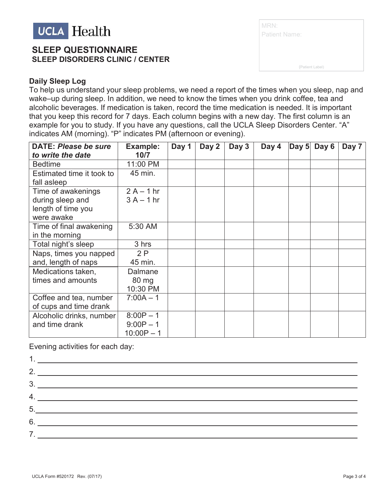

## **SLEEP QUESTIONNAIRE SLEEP DISORDERS CLINIC / CENTER**

| MRN:                 |  |
|----------------------|--|
| <b>Patient Name:</b> |  |
|                      |  |
| (Patient Label)      |  |

### **Daily Sleep Log**

To help us understand your sleep problems, we need a report of the times when you sleep, nap and wake–up during sleep. In addition, we need to know the times when you drink coffee, tea and alcoholic beverages. If medication is taken, record the time medication is needed. It is important that you keep this record for 7 days. Each column begins with a new day. The first column is an example for you to study. If you have any questions, call the UCLA Sleep Disorders Center. "A" indicates AM (morning). "P" indicates PM (afternoon or evening).

| <b>DATE: Please be sure</b> | Example:     | Day 1 | Day 2 | Day 3 | Day 4 | Day 5 | Day 6 | Day 7 |
|-----------------------------|--------------|-------|-------|-------|-------|-------|-------|-------|
| to write the date           | 10/7         |       |       |       |       |       |       |       |
| <b>Bedtime</b>              | 11:00 PM     |       |       |       |       |       |       |       |
| Estimated time it took to   | 45 min.      |       |       |       |       |       |       |       |
| fall asleep                 |              |       |       |       |       |       |       |       |
| Time of awakenings          | $2A - 1hr$   |       |       |       |       |       |       |       |
| during sleep and            | $3A - 1hr$   |       |       |       |       |       |       |       |
| length of time you          |              |       |       |       |       |       |       |       |
| were awake                  |              |       |       |       |       |       |       |       |
| Time of final awakening     | 5:30 AM      |       |       |       |       |       |       |       |
| in the morning              |              |       |       |       |       |       |       |       |
| Total night's sleep         | 3 hrs        |       |       |       |       |       |       |       |
| Naps, times you napped      | 2P           |       |       |       |       |       |       |       |
| and, length of naps         | 45 min.      |       |       |       |       |       |       |       |
| Medications taken,          | Dalmane      |       |       |       |       |       |       |       |
| times and amounts           | 80 mg        |       |       |       |       |       |       |       |
|                             | 10:30 PM     |       |       |       |       |       |       |       |
| Coffee and tea, number      | $7:00A - 1$  |       |       |       |       |       |       |       |
| of cups and time drank      |              |       |       |       |       |       |       |       |
| Alcoholic drinks, number    | $8:00P - 1$  |       |       |       |       |       |       |       |
| and time drank              | $9:00P - 1$  |       |       |       |       |       |       |       |
|                             | $10:00P - 1$ |       |       |       |       |       |       |       |

Evening activities for each day:

| 2.                                                                                                                                                            |
|---------------------------------------------------------------------------------------------------------------------------------------------------------------|
| 3.                                                                                                                                                            |
| 4.                                                                                                                                                            |
| $\begin{array}{c c c c c c} \hline \rule{0pt}{2ex} & \rule{0pt}{2ex} \multicolumn{3}{2}{\textbf{5.}} & \multicolumn{3}{2}{\textbf{5.}} \\ \hline \end{array}$ |
|                                                                                                                                                               |
| 7.                                                                                                                                                            |
|                                                                                                                                                               |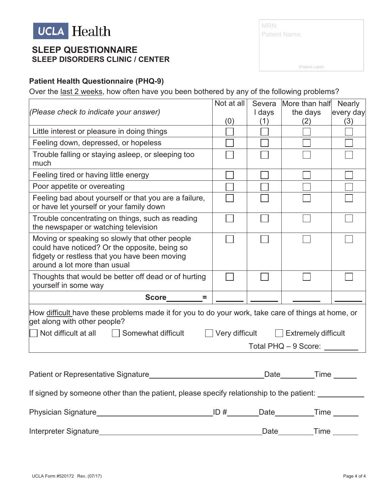

## **SLEEP QUESTIONNAIRE SLEEP DISORDERS CLINIC / CENTER**

| MRN:                 |  |
|----------------------|--|
| <b>Patient Name:</b> |  |
|                      |  |
|                      |  |

(Patient Label)

### **Patient Health Questionnaire (PHQ-9)**

Over the last 2 weeks, how often have you been bothered by any of the following problems?

|                                                                                                                                                                                  | Not at all                         | Severa | More than half Nearly                            |           |  |
|----------------------------------------------------------------------------------------------------------------------------------------------------------------------------------|------------------------------------|--------|--------------------------------------------------|-----------|--|
| (Please check to indicate your answer)                                                                                                                                           |                                    | I days | the days                                         | every day |  |
|                                                                                                                                                                                  | (0)                                | (1)    | (2)                                              | (3)       |  |
| Little interest or pleasure in doing things                                                                                                                                      |                                    |        |                                                  |           |  |
| Feeling down, depressed, or hopeless                                                                                                                                             |                                    |        |                                                  |           |  |
| Trouble falling or staying asleep, or sleeping too<br>much                                                                                                                       |                                    |        |                                                  |           |  |
| Feeling tired or having little energy                                                                                                                                            |                                    |        |                                                  |           |  |
| Poor appetite or overeating                                                                                                                                                      |                                    |        |                                                  |           |  |
| Feeling bad about yourself or that you are a failure,<br>or have let yourself or your family down                                                                                |                                    |        |                                                  |           |  |
| Trouble concentrating on things, such as reading<br>the newspaper or watching television                                                                                         |                                    |        |                                                  |           |  |
| Moving or speaking so slowly that other people<br>could have noticed? Or the opposite, being so<br>fidgety or restless that you have been moving<br>around a lot more than usual |                                    |        |                                                  |           |  |
| Thoughts that would be better off dead or of hurting<br>yourself in some way                                                                                                     |                                    |        |                                                  |           |  |
| $Score_$ =                                                                                                                                                                       |                                    |        |                                                  |           |  |
| How difficult have these problems made it for you to do your work, take care of things at home, or<br>get along with other people?                                               |                                    |        |                                                  |           |  |
| Not difficult at all $\Box$ Somewhat difficult                                                                                                                                   |                                    |        | $\Box$ Very difficult $\Box$ Extremely difficult |           |  |
|                                                                                                                                                                                  |                                    |        | Total PHQ - 9 Score: ________                    |           |  |
|                                                                                                                                                                                  |                                    |        |                                                  |           |  |
| Patient or Representative Signature___________________________________Date_________Time _______                                                                                  |                                    |        |                                                  |           |  |
| If signed by someone other than the patient, please specify relationship to the patient:                                                                                         |                                    |        |                                                  |           |  |
| <b>Physician Signature</b>                                                                                                                                                       | <u>ID #_________</u> Date_________ |        | $Time_$                                          |           |  |

Interpreter Signature Date Time